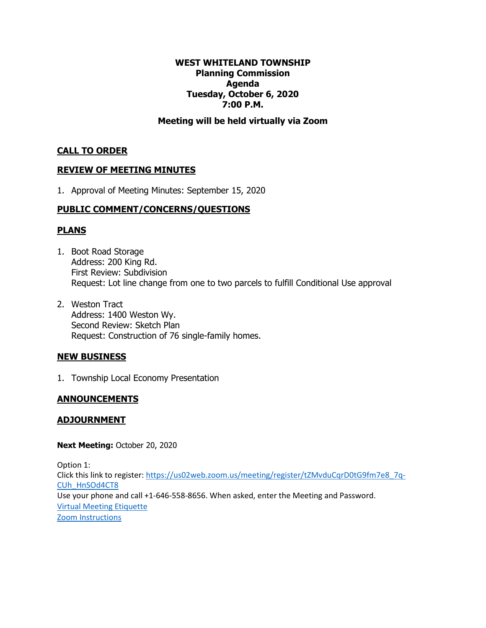#### **WEST WHITELAND TOWNSHIP Planning Commission Agenda Tuesday, October 6, 2020 7:00 P.M.**

#### **Meeting will be held virtually via Zoom**

#### **CALL TO ORDER**

#### **REVIEW OF MEETING MINUTES**

1. Approval of Meeting Minutes: September 15, 2020

# **PUBLIC COMMENT/CONCERNS/QUESTIONS**

#### **PLANS**

- 1. Boot Road Storage Address: 200 King Rd. First Review: Subdivision Request: Lot line change from one to two parcels to fulfill Conditional Use approval
- 2. Weston Tract Address: 1400 Weston Wy. Second Review: Sketch Plan Request: Construction of 76 single-family homes.

#### **NEW BUSINESS**

1. Township Local Economy Presentation

#### **ANNOUNCEMENTS**

#### **ADJOURNMENT**

**Next Meeting:** October 20, 2020

Option 1: Click this link to register: [https://us02web.zoom.us/meeting/register/tZMvduCqrD0tG9fm7e8\\_7q-](https://us02web.zoom.us/meeting/register/tZMvduCqrD0tG9fm7e8_7q-CUh_HnSOd4CT8)[CUh\\_HnSOd4CT8](https://us02web.zoom.us/meeting/register/tZMvduCqrD0tG9fm7e8_7q-CUh_HnSOd4CT8) Use your phone and call +1-646-558-8656. When asked, enter the Meeting and Password. [Virtual Meeting Etiquette](https://www.westwhiteland.org/DocumentCenter/View/1719/WWT-Virtual-Meeting-Etiquette) [Zoom Instructions](https://www.westwhiteland.org/DocumentCenter/View/1720/Zoom-Instructions)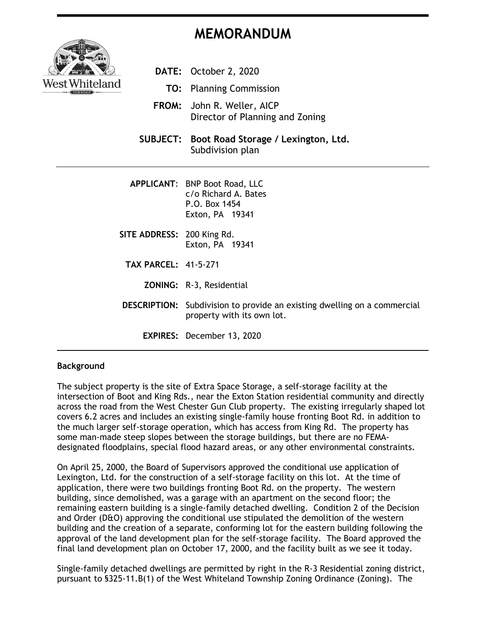# **MEMORANDUM**



- **DATE:** October 2, 2020
	- **TO:** Planning Commission
- **FROM:** John R. Weller, AICP Director of Planning and Zoning
- **SUBJECT: Boot Road Storage / Lexington, Ltd.** Subdivision plan
- **APPLICANT**: BNP Boot Road, LLC c/o Richard A. Bates P.O. Box 1454 Exton, PA 19341
- **SITE ADDRESS:** 200 King Rd. Exton, PA 19341
	- **TAX PARCEL:** 41-5-271
		- **ZONING:** R-3, Residential
- **DESCRIPTION:** Subdivision to provide an existing dwelling on a commercial property with its own lot.
	- **EXPIRES:** December 13, 2020

#### **Background**

The subject property is the site of Extra Space Storage, a self-storage facility at the intersection of Boot and King Rds., near the Exton Station residential community and directly across the road from the West Chester Gun Club property. The existing irregularly shaped lot covers 6.2 acres and includes an existing single-family house fronting Boot Rd. in addition to the much larger self-storage operation, which has access from King Rd. The property has some man-made steep slopes between the storage buildings, but there are no FEMAdesignated floodplains, special flood hazard areas, or any other environmental constraints.

On April 25, 2000, the Board of Supervisors approved the conditional use application of Lexington, Ltd. for the construction of a self-storage facility on this lot. At the time of application, there were two buildings fronting Boot Rd. on the property. The western building, since demolished, was a garage with an apartment on the second floor; the remaining eastern building is a single-family detached dwelling. Condition 2 of the Decision and Order (D&O) approving the conditional use stipulated the demolition of the western building and the creation of a separate, conforming lot for the eastern building following the approval of the land development plan for the self-storage facility. The Board approved the final land development plan on October 17, 2000, and the facility built as we see it today.

Single-family detached dwellings are permitted by right in the R-3 Residential zoning district, pursuant to §325-11.B(1) of the West Whiteland Township Zoning Ordinance (Zoning). The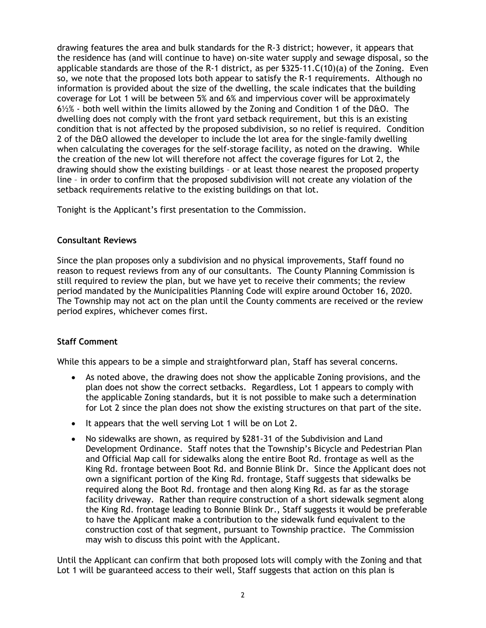drawing features the area and bulk standards for the R-3 district; however, it appears that the residence has (and will continue to have) on-site water supply and sewage disposal, so the applicable standards are those of the R-1 district, as per §325-11.C(10)(a) of the Zoning. Even so, we note that the proposed lots both appear to satisfy the R-1 requirements. Although no information is provided about the size of the dwelling, the scale indicates that the building coverage for Lot 1 will be between 5% and 6% and impervious cover will be approximately 6½% - both well within the limits allowed by the Zoning and Condition 1 of the D&O. The dwelling does not comply with the front yard setback requirement, but this is an existing condition that is not affected by the proposed subdivision, so no relief is required. Condition 2 of the D&O allowed the developer to include the lot area for the single-family dwelling when calculating the coverages for the self-storage facility, as noted on the drawing. While the creation of the new lot will therefore not affect the coverage figures for Lot 2, the drawing should show the existing buildings – or at least those nearest the proposed property line – in order to confirm that the proposed subdivision will not create any violation of the setback requirements relative to the existing buildings on that lot.

Tonight is the Applicant's first presentation to the Commission.

#### **Consultant Reviews**

Since the plan proposes only a subdivision and no physical improvements, Staff found no reason to request reviews from any of our consultants. The County Planning Commission is still required to review the plan, but we have yet to receive their comments; the review period mandated by the Municipalities Planning Code will expire around October 16, 2020. The Township may not act on the plan until the County comments are received or the review period expires, whichever comes first.

# **Staff Comment**

While this appears to be a simple and straightforward plan, Staff has several concerns.

- As noted above, the drawing does not show the applicable Zoning provisions, and the plan does not show the correct setbacks. Regardless, Lot 1 appears to comply with the applicable Zoning standards, but it is not possible to make such a determination for Lot 2 since the plan does not show the existing structures on that part of the site.
- It appears that the well serving Lot 1 will be on Lot 2.
- No sidewalks are shown, as required by §281-31 of the Subdivision and Land Development Ordinance. Staff notes that the Township's Bicycle and Pedestrian Plan and Official Map call for sidewalks along the entire Boot Rd. frontage as well as the King Rd. frontage between Boot Rd. and Bonnie Blink Dr. Since the Applicant does not own a significant portion of the King Rd. frontage, Staff suggests that sidewalks be required along the Boot Rd. frontage and then along King Rd. as far as the storage facility driveway. Rather than require construction of a short sidewalk segment along the King Rd. frontage leading to Bonnie Blink Dr., Staff suggests it would be preferable to have the Applicant make a contribution to the sidewalk fund equivalent to the construction cost of that segment, pursuant to Township practice. The Commission may wish to discuss this point with the Applicant.

Until the Applicant can confirm that both proposed lots will comply with the Zoning and that Lot 1 will be guaranteed access to their well, Staff suggests that action on this plan is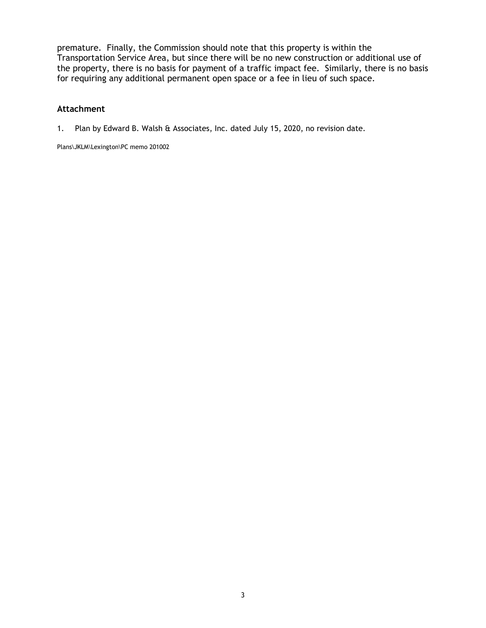premature. Finally, the Commission should note that this property is within the Transportation Service Area, but since there will be no new construction or additional use of the property, there is no basis for payment of a traffic impact fee. Similarly, there is no basis for requiring any additional permanent open space or a fee in lieu of such space.

#### **Attachment**

1. Plan by Edward B. Walsh & Associates, Inc. dated July 15, 2020, no revision date.

Plans\JKLM\Lexington\PC memo 201002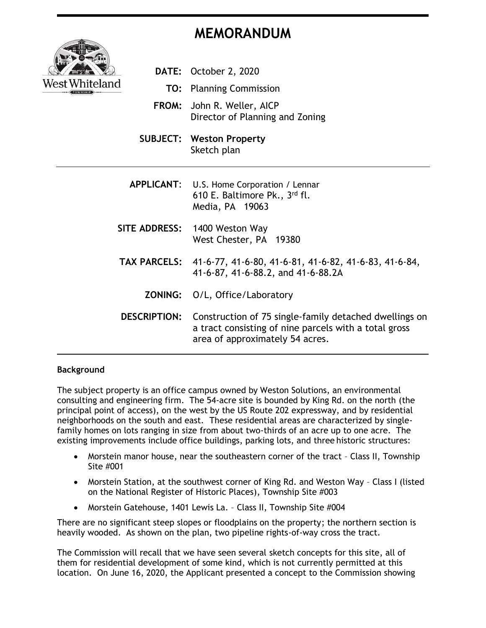# **MEMORANDUM**



- **DATE:** October 2, 2020 **TO:** Planning Commission **FROM:** John R. Weller, AICP Director of Planning and Zoning **SUBJECT: Weston Property** Sketch plan **APPLICANT**: U.S. Home Corporation / Lennar 610 E. Baltimore Pk., 3 rd fl. Media, PA 19063 **SITE ADDRESS:** 1400 Weston Way
- West Chester, PA 19380
- **TAX PARCELS:** 41-6-77, 41-6-80, 41-6-81, 41-6-82, 41-6-83, 41-6-84, 41-6-87, 41-6-88.2, and 41-6-88.2A
	- **ZONING:** O/L, Office/Laboratory
- **DESCRIPTION:** Construction of 75 single-family detached dwellings on a tract consisting of nine parcels with a total gross area of approximately 54 acres.

# **Background**

The subject property is an office campus owned by Weston Solutions, an environmental consulting and engineering firm. The 54-acre site is bounded by King Rd. on the north (the principal point of access), on the west by the US Route 202 expressway, and by residential neighborhoods on the south and east. These residential areas are characterized by singlefamily homes on lots ranging in size from about two-thirds of an acre up to one acre. The existing improvements include office buildings, parking lots, and three historic structures:

- Morstein manor house, near the southeastern corner of the tract Class II, Township Site #001
- Morstein Station, at the southwest corner of King Rd. and Weston Way Class I (listed on the National Register of Historic Places), Township Site #003
- Morstein Gatehouse, 1401 Lewis La. Class II, Township Site #004

There are no significant steep slopes or floodplains on the property; the northern section is heavily wooded. As shown on the plan, two pipeline rights-of-way cross the tract.

The Commission will recall that we have seen several sketch concepts for this site, all of them for residential development of some kind, which is not currently permitted at this location. On June 16, 2020, the Applicant presented a concept to the Commission showing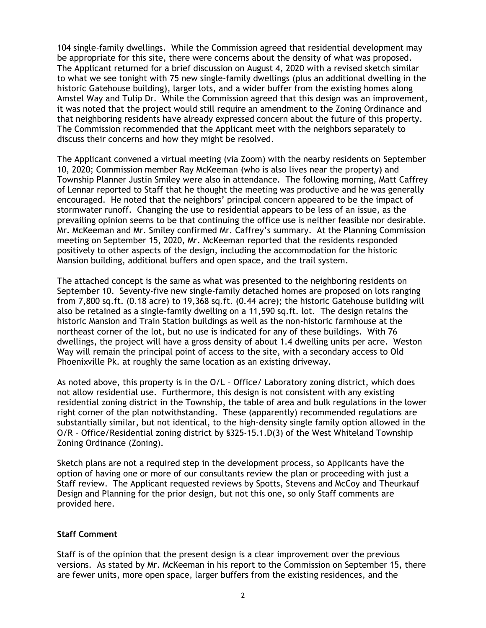104 single-family dwellings. While the Commission agreed that residential development may be appropriate for this site, there were concerns about the density of what was proposed. The Applicant returned for a brief discussion on August 4, 2020 with a revised sketch similar to what we see tonight with 75 new single-family dwellings (plus an additional dwelling in the historic Gatehouse building), larger lots, and a wider buffer from the existing homes along Amstel Way and Tulip Dr. While the Commission agreed that this design was an improvement, it was noted that the project would still require an amendment to the Zoning Ordinance and that neighboring residents have already expressed concern about the future of this property. The Commission recommended that the Applicant meet with the neighbors separately to discuss their concerns and how they might be resolved.

The Applicant convened a virtual meeting (via Zoom) with the nearby residents on September 10, 2020; Commission member Ray McKeeman (who is also lives near the property) and Township Planner Justin Smiley were also in attendance. The following morning, Matt Caffrey of Lennar reported to Staff that he thought the meeting was productive and he was generally encouraged. He noted that the neighbors' principal concern appeared to be the impact of stormwater runoff. Changing the use to residential appears to be less of an issue, as the prevailing opinion seems to be that continuing the office use is neither feasible nor desirable. Mr. McKeeman and Mr. Smiley confirmed Mr. Caffrey's summary. At the Planning Commission meeting on September 15, 2020, Mr. McKeeman reported that the residents responded positively to other aspects of the design, including the accommodation for the historic Mansion building, additional buffers and open space, and the trail system.

The attached concept is the same as what was presented to the neighboring residents on September 10. Seventy-five new single-family detached homes are proposed on lots ranging from 7,800 sq.ft. (0.18 acre) to 19,368 sq.ft. (0.44 acre); the historic Gatehouse building will also be retained as a single-family dwelling on a 11,590 sq.ft. lot. The design retains the historic Mansion and Train Station buildings as well as the non-historic farmhouse at the northeast corner of the lot, but no use is indicated for any of these buildings. With 76 dwellings, the project will have a gross density of about 1.4 dwelling units per acre. Weston Way will remain the principal point of access to the site, with a secondary access to Old Phoenixville Pk. at roughly the same location as an existing driveway.

As noted above, this property is in the O/L – Office/ Laboratory zoning district, which does not allow residential use. Furthermore, this design is not consistent with any existing residential zoning district in the Township, the table of area and bulk regulations in the lower right corner of the plan notwithstanding. These (apparently) recommended regulations are substantially similar, but not identical, to the high-density single family option allowed in the O/R – Office/Residential zoning district by §325-15.1.D(3) of the West Whiteland Township Zoning Ordinance (Zoning).

Sketch plans are not a required step in the development process, so Applicants have the option of having one or more of our consultants review the plan or proceeding with just a Staff review. The Applicant requested reviews by Spotts, Stevens and McCoy and Theurkauf Design and Planning for the prior design, but not this one, so only Staff comments are provided here.

#### **Staff Comment**

Staff is of the opinion that the present design is a clear improvement over the previous versions. As stated by Mr. McKeeman in his report to the Commission on September 15, there are fewer units, more open space, larger buffers from the existing residences, and the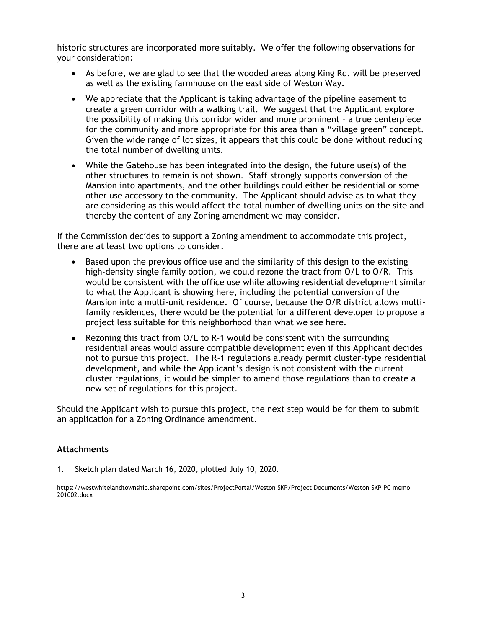historic structures are incorporated more suitably. We offer the following observations for your consideration:

- As before, we are glad to see that the wooded areas along King Rd. will be preserved as well as the existing farmhouse on the east side of Weston Way.
- We appreciate that the Applicant is taking advantage of the pipeline easement to create a green corridor with a walking trail. We suggest that the Applicant explore the possibility of making this corridor wider and more prominent – a true centerpiece for the community and more appropriate for this area than a "village green" concept. Given the wide range of lot sizes, it appears that this could be done without reducing the total number of dwelling units.
- While the Gatehouse has been integrated into the design, the future use(s) of the other structures to remain is not shown. Staff strongly supports conversion of the Mansion into apartments, and the other buildings could either be residential or some other use accessory to the community. The Applicant should advise as to what they are considering as this would affect the total number of dwelling units on the site and thereby the content of any Zoning amendment we may consider.

If the Commission decides to support a Zoning amendment to accommodate this project, there are at least two options to consider.

- Based upon the previous office use and the similarity of this design to the existing high-density single family option, we could rezone the tract from O/L to O/R. This would be consistent with the office use while allowing residential development similar to what the Applicant is showing here, including the potential conversion of the Mansion into a multi-unit residence. Of course, because the O/R district allows multifamily residences, there would be the potential for a different developer to propose a project less suitable for this neighborhood than what we see here.
- Rezoning this tract from O/L to R-1 would be consistent with the surrounding residential areas would assure compatible development even if this Applicant decides not to pursue this project. The R-1 regulations already permit cluster-type residential development, and while the Applicant's design is not consistent with the current cluster regulations, it would be simpler to amend those regulations than to create a new set of regulations for this project.

Should the Applicant wish to pursue this project, the next step would be for them to submit an application for a Zoning Ordinance amendment.

#### **Attachments**

1. Sketch plan dated March 16, 2020, plotted July 10, 2020.

https://westwhitelandtownship.sharepoint.com/sites/ProjectPortal/Weston SKP/Project Documents/Weston SKP PC memo 201002.docx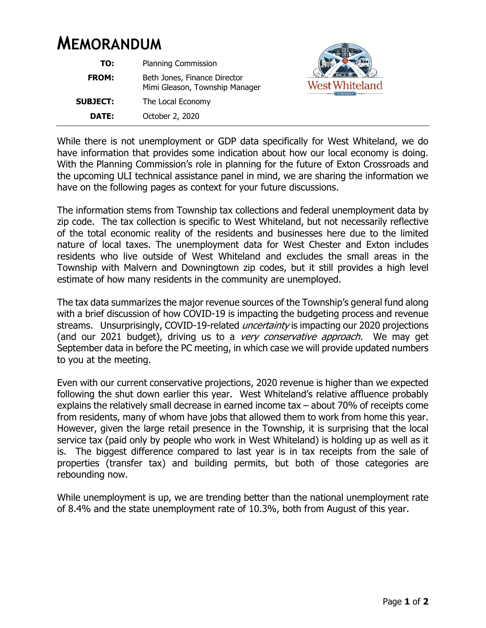# **MEMORANDUM**

| TO:             | <b>Planning Commission</b>                                     |
|-----------------|----------------------------------------------------------------|
| <b>FROM:</b>    | Beth Jones, Finance Director<br>Mimi Gleason, Township Manager |
| <b>SUBJECT:</b> | The Local Economy                                              |
| DATE:           | October 2, 2020                                                |



While there is not unemployment or GDP data specifically for West Whiteland, we do have information that provides some indication about how our local economy is doing. With the Planning Commission's role in planning for the future of Exton Crossroads and the upcoming ULI technical assistance panel in mind, we are sharing the information we have on the following pages as context for your future discussions.

The information stems from Township tax collections and federal unemployment data by zip code. The tax collection is specific to West Whiteland, but not necessarily reflective of the total economic reality of the residents and businesses here due to the limited nature of local taxes. The unemployment data for West Chester and Exton includes residents who live outside of West Whiteland and excludes the small areas in the Township with Malvern and Downingtown zip codes, but it still provides a high level estimate of how many residents in the community are unemployed.

The tax data summarizes the major revenue sources of the Township's general fund along with a brief discussion of how COVID-19 is impacting the budgeting process and revenue streams. Unsurprisingly, COVID-19-related *uncertainty* is impacting our 2020 projections (and our 2021 budget), driving us to a very conservative approach. We may get September data in before the PC meeting, in which case we will provide updated numbers to you at the meeting.

Even with our current conservative projections, 2020 revenue is higher than we expected following the shut down earlier this year. West Whiteland's relative affluence probably explains the relatively small decrease in earned income tax – about 70% of receipts come from residents, many of whom have jobs that allowed them to work from home this year. However, given the large retail presence in the Township, it is surprising that the local service tax (paid only by people who work in West Whiteland) is holding up as well as it is. The biggest difference compared to last year is in tax receipts from the sale of properties (transfer tax) and building permits, but both of those categories are rebounding now.

While unemployment is up, we are trending better than the national unemployment rate of 8.4% and the state unemployment rate of 10.3%, both from August of this year.